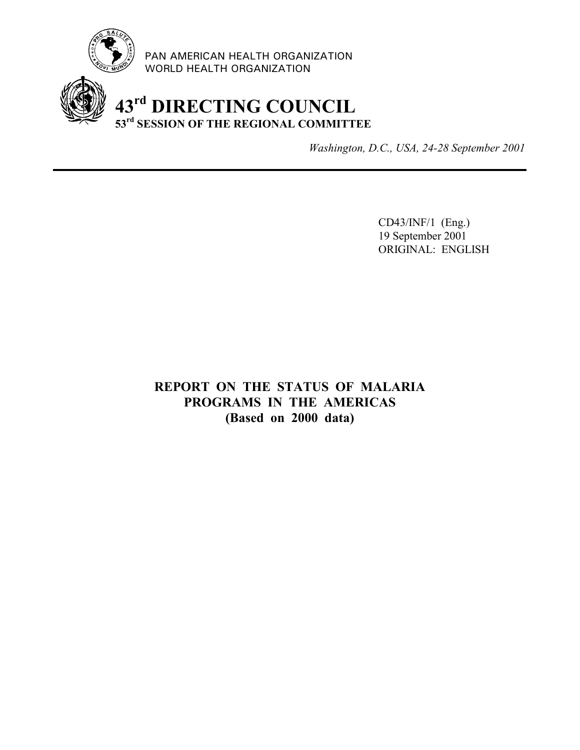

PAN AMERICAN HEALTH ORGANIZATION WORLD HEALTH ORGANIZATION

# **43rd DIRECTING COUNCIL 53rd SESSION OF THE REGIONAL COMMITTEE**

*Washington, D.C., USA, 24-28 September 2001*

CD43/INF/1 (Eng.) 19 September 2001 ORIGINAL: ENGLISH

**REPORT ON THE STATUS OF MALARIA PROGRAMS IN THE AMERICAS (Based on 2000 data)**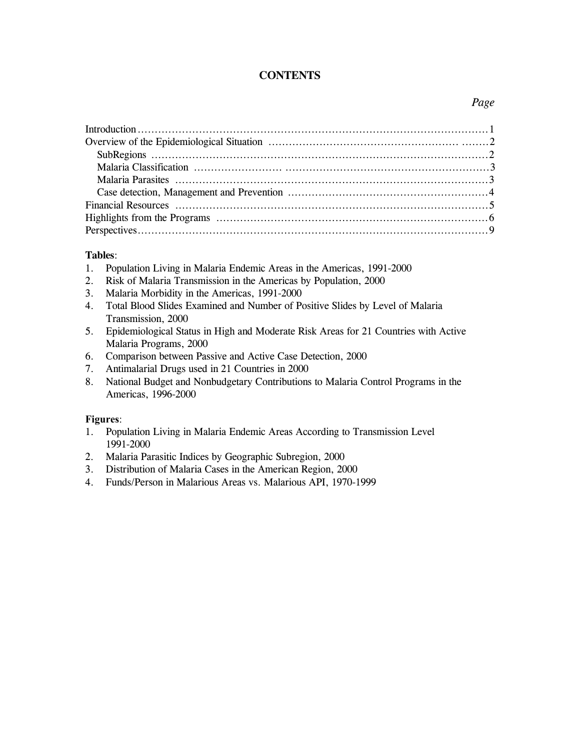### **CONTENTS**

### *Page*

### **Tables**:

- 1. Population Living in Malaria Endemic Areas in the Americas, 1991-2000
- 2. Risk of Malaria Transmission in the Americas by Population, 2000
- 3. Malaria Morbidity in the Americas, 1991-2000
- 4. Total Blood Slides Examined and Number of Positive Slides by Level of Malaria Transmission, 2000
- 5. Epidemiological Status in High and Moderate Risk Areas for 21 Countries with Active Malaria Programs, 2000
- 6. Comparison between Passive and Active Case Detection, 2000
- 7. Antimalarial Drugs used in 21 Countries in 2000
- 8. National Budget and Nonbudgetary Contributions to Malaria Control Programs in the Americas, 1996-2000

### **Figures**:

- 1. Population Living in Malaria Endemic Areas According to Transmission Level 1991-2000
- 2. Malaria Parasitic Indices by Geographic Subregion, 2000
- 3. Distribution of Malaria Cases in the American Region, 2000
- 4. Funds/Person in Malarious Areas vs. Malarious API, 1970-1999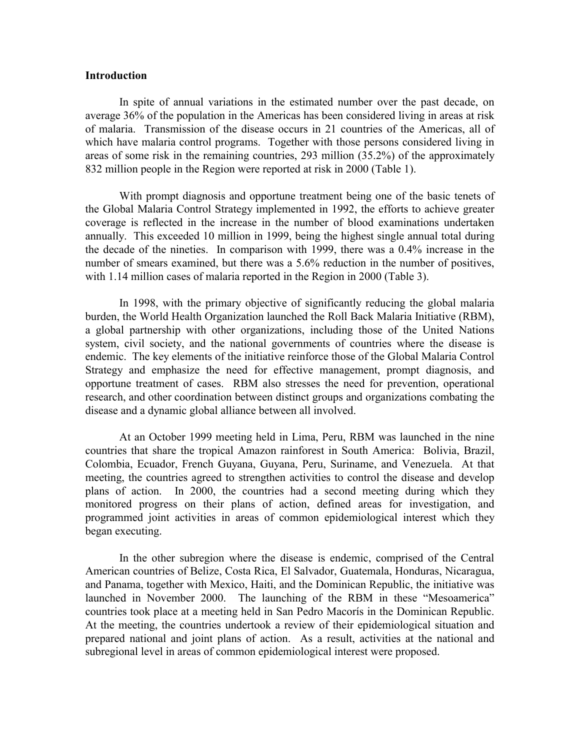### **Introduction**

In spite of annual variations in the estimated number over the past decade, on average 36% of the population in the Americas has been considered living in areas at risk of malaria. Transmission of the disease occurs in 21 countries of the Americas, all of which have malaria control programs. Together with those persons considered living in areas of some risk in the remaining countries, 293 million (35.2%) of the approximately 832 million people in the Region were reported at risk in 2000 (Table 1).

With prompt diagnosis and opportune treatment being one of the basic tenets of the Global Malaria Control Strategy implemented in 1992, the efforts to achieve greater coverage is reflected in the increase in the number of blood examinations undertaken annually. This exceeded 10 million in 1999, being the highest single annual total during the decade of the nineties. In comparison with 1999, there was a 0.4% increase in the number of smears examined, but there was a 5.6% reduction in the number of positives, with 1.14 million cases of malaria reported in the Region in 2000 (Table 3).

In 1998, with the primary objective of significantly reducing the global malaria burden, the World Health Organization launched the Roll Back Malaria Initiative (RBM), a global partnership with other organizations, including those of the United Nations system, civil society, and the national governments of countries where the disease is endemic. The key elements of the initiative reinforce those of the Global Malaria Control Strategy and emphasize the need for effective management, prompt diagnosis, and opportune treatment of cases. RBM also stresses the need for prevention, operational research, and other coordination between distinct groups and organizations combating the disease and a dynamic global alliance between all involved.

At an October 1999 meeting held in Lima, Peru, RBM was launched in the nine countries that share the tropical Amazon rainforest in South America: Bolivia, Brazil, Colombia, Ecuador, French Guyana, Guyana, Peru, Suriname, and Venezuela. At that meeting, the countries agreed to strengthen activities to control the disease and develop plans of action. In 2000, the countries had a second meeting during which they monitored progress on their plans of action, defined areas for investigation, and programmed joint activities in areas of common epidemiological interest which they began executing.

In the other subregion where the disease is endemic, comprised of the Central American countries of Belize, Costa Rica, El Salvador, Guatemala, Honduras, Nicaragua, and Panama, together with Mexico, Haiti, and the Dominican Republic, the initiative was launched in November 2000. The launching of the RBM in these "Mesoamerica" countries took place at a meeting held in San Pedro Macorís in the Dominican Republic. At the meeting, the countries undertook a review of their epidemiological situation and prepared national and joint plans of action. As a result, activities at the national and subregional level in areas of common epidemiological interest were proposed.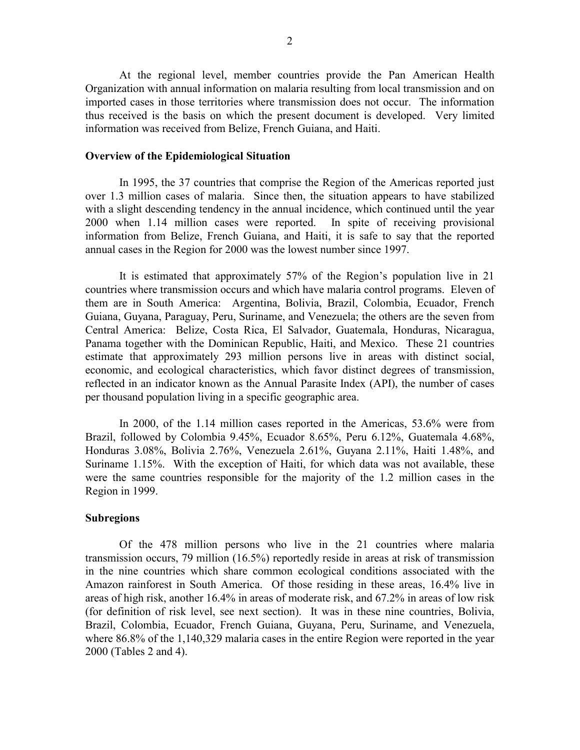At the regional level, member countries provide the Pan American Health Organization with annual information on malaria resulting from local transmission and on imported cases in those territories where transmission does not occur. The information thus received is the basis on which the present document is developed. Very limited information was received from Belize, French Guiana, and Haiti.

### **Overview of the Epidemiological Situation**

In 1995, the 37 countries that comprise the Region of the Americas reported just over 1.3 million cases of malaria. Since then, the situation appears to have stabilized with a slight descending tendency in the annual incidence, which continued until the year 2000 when 1.14 million cases were reported. In spite of receiving provisional information from Belize, French Guiana, and Haiti, it is safe to say that the reported annual cases in the Region for 2000 was the lowest number since 1997.

It is estimated that approximately 57% of the Region's population live in 21 countries where transmission occurs and which have malaria control programs. Eleven of them are in South America: Argentina, Bolivia, Brazil, Colombia, Ecuador, French Guiana, Guyana, Paraguay, Peru, Suriname, and Venezuela; the others are the seven from Central America: Belize, Costa Rica, El Salvador, Guatemala, Honduras, Nicaragua, Panama together with the Dominican Republic, Haiti, and Mexico. These 21 countries estimate that approximately 293 million persons live in areas with distinct social, economic, and ecological characteristics, which favor distinct degrees of transmission, reflected in an indicator known as the Annual Parasite Index (API), the number of cases per thousand population living in a specific geographic area.

In 2000, of the 1.14 million cases reported in the Americas, 53.6% were from Brazil, followed by Colombia 9.45%, Ecuador 8.65%, Peru 6.12%, Guatemala 4.68%, Honduras 3.08%, Bolivia 2.76%, Venezuela 2.61%, Guyana 2.11%, Haiti 1.48%, and Suriname 1.15%. With the exception of Haiti, for which data was not available, these were the same countries responsible for the majority of the 1.2 million cases in the Region in 1999.

### **Subregions**

Of the 478 million persons who live in the 21 countries where malaria transmission occurs, 79 million (16.5%) reportedly reside in areas at risk of transmission in the nine countries which share common ecological conditions associated with the Amazon rainforest in South America. Of those residing in these areas, 16.4% live in areas of high risk, another 16.4% in areas of moderate risk, and 67.2% in areas of low risk (for definition of risk level, see next section). It was in these nine countries, Bolivia, Brazil, Colombia, Ecuador, French Guiana, Guyana, Peru, Suriname, and Venezuela, where 86.8% of the 1,140,329 malaria cases in the entire Region were reported in the year 2000 (Tables 2 and 4).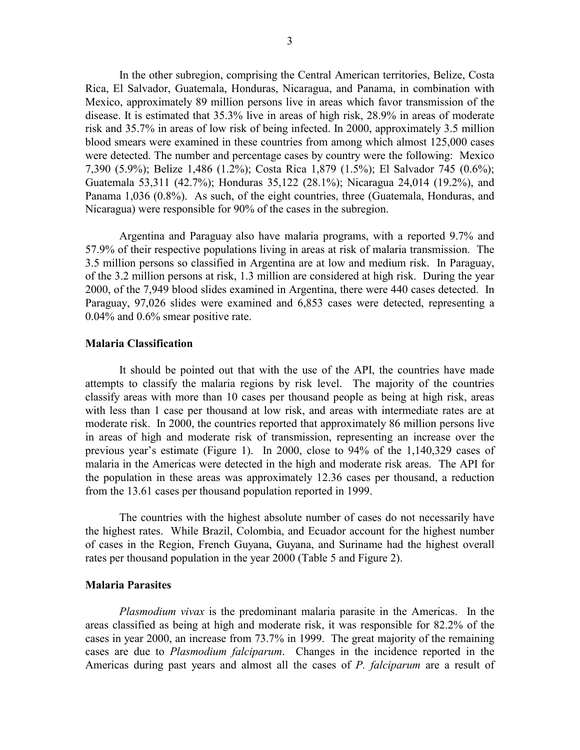In the other subregion, comprising the Central American territories, Belize, Costa Rica, El Salvador, Guatemala, Honduras, Nicaragua, and Panama, in combination with Mexico, approximately 89 million persons live in areas which favor transmission of the disease. It is estimated that 35.3% live in areas of high risk, 28.9% in areas of moderate risk and 35.7% in areas of low risk of being infected. In 2000, approximately 3.5 million blood smears were examined in these countries from among which almost 125,000 cases were detected. The number and percentage cases by country were the following: Mexico 7,390 (5.9%); Belize 1,486 (1.2%); Costa Rica 1,879 (1.5%); El Salvador 745 (0.6%); Guatemala 53,311 (42.7%); Honduras 35,122 (28.1%); Nicaragua 24,014 (19.2%), and Panama 1,036 (0.8%). As such, of the eight countries, three (Guatemala, Honduras, and Nicaragua) were responsible for 90% of the cases in the subregion.

Argentina and Paraguay also have malaria programs, with a reported 9.7% and 57.9% of their respective populations living in areas at risk of malaria transmission. The 3.5 million persons so classified in Argentina are at low and medium risk. In Paraguay, of the 3.2 million persons at risk, 1.3 million are considered at high risk. During the year 2000, of the 7,949 blood slides examined in Argentina, there were 440 cases detected. In Paraguay, 97,026 slides were examined and 6,853 cases were detected, representing a 0.04% and 0.6% smear positive rate.

### **Malaria Classification**

It should be pointed out that with the use of the API, the countries have made attempts to classify the malaria regions by risk level. The majority of the countries classify areas with more than 10 cases per thousand people as being at high risk, areas with less than 1 case per thousand at low risk, and areas with intermediate rates are at moderate risk. In 2000, the countries reported that approximately 86 million persons live in areas of high and moderate risk of transmission, representing an increase over the previous year's estimate (Figure 1). In 2000, close to 94% of the 1,140,329 cases of malaria in the Americas were detected in the high and moderate risk areas. The API for the population in these areas was approximately 12.36 cases per thousand, a reduction from the 13.61 cases per thousand population reported in 1999.

The countries with the highest absolute number of cases do not necessarily have the highest rates. While Brazil, Colombia, and Ecuador account for the highest number of cases in the Region, French Guyana, Guyana, and Suriname had the highest overall rates per thousand population in the year 2000 (Table 5 and Figure 2).

### **Malaria Parasites**

*Plasmodium vivax* is the predominant malaria parasite in the Americas. In the areas classified as being at high and moderate risk, it was responsible for 82.2% of the cases in year 2000, an increase from 73.7% in 1999. The great majority of the remaining cases are due to *Plasmodium falciparum*. Changes in the incidence reported in the Americas during past years and almost all the cases of *P. falciparum* are a result of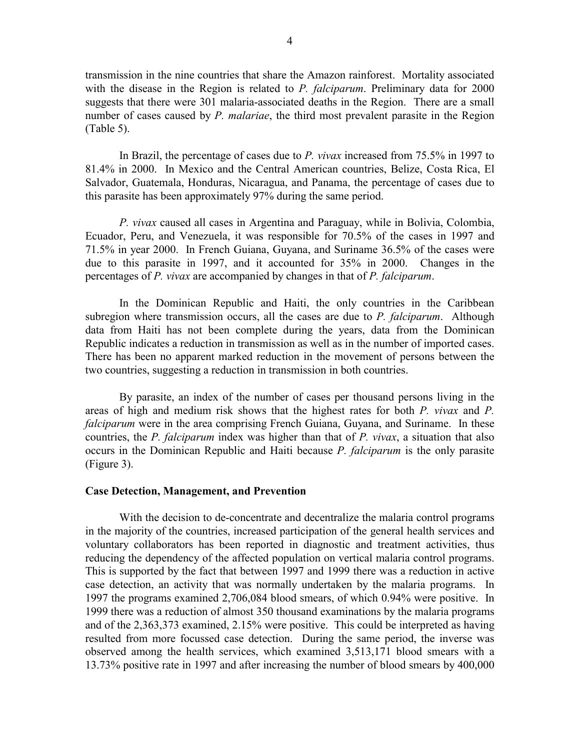transmission in the nine countries that share the Amazon rainforest. Mortality associated with the disease in the Region is related to *P. falciparum*. Preliminary data for 2000 suggests that there were 301 malaria-associated deaths in the Region. There are a small number of cases caused by *P. malariae*, the third most prevalent parasite in the Region (Table 5).

In Brazil, the percentage of cases due to *P. vivax* increased from 75.5% in 1997 to 81.4% in 2000. In Mexico and the Central American countries, Belize, Costa Rica, El Salvador, Guatemala, Honduras, Nicaragua, and Panama, the percentage of cases due to this parasite has been approximately 97% during the same period.

*P. vivax* caused all cases in Argentina and Paraguay, while in Bolivia, Colombia, Ecuador, Peru, and Venezuela, it was responsible for 70.5% of the cases in 1997 and 71.5% in year 2000. In French Guiana, Guyana, and Suriname 36.5% of the cases were due to this parasite in 1997, and it accounted for 35% in 2000. Changes in the percentages of *P. vivax* are accompanied by changes in that of *P. falciparum*.

In the Dominican Republic and Haiti, the only countries in the Caribbean subregion where transmission occurs, all the cases are due to *P. falciparum*. Although data from Haiti has not been complete during the years, data from the Dominican Republic indicates a reduction in transmission as well as in the number of imported cases. There has been no apparent marked reduction in the movement of persons between the two countries, suggesting a reduction in transmission in both countries.

By parasite, an index of the number of cases per thousand persons living in the areas of high and medium risk shows that the highest rates for both *P. vivax* and *P. falciparum* were in the area comprising French Guiana, Guyana, and Suriname. In these countries, the *P. falciparum* index was higher than that of *P. vivax*, a situation that also occurs in the Dominican Republic and Haiti because *P. falciparum* is the only parasite (Figure 3).

### **Case Detection, Management, and Prevention**

With the decision to de-concentrate and decentralize the malaria control programs in the majority of the countries, increased participation of the general health services and voluntary collaborators has been reported in diagnostic and treatment activities, thus reducing the dependency of the affected population on vertical malaria control programs. This is supported by the fact that between 1997 and 1999 there was a reduction in active case detection, an activity that was normally undertaken by the malaria programs. In 1997 the programs examined 2,706,084 blood smears, of which 0.94% were positive. In 1999 there was a reduction of almost 350 thousand examinations by the malaria programs and of the 2,363,373 examined, 2.15% were positive. This could be interpreted as having resulted from more focussed case detection. During the same period, the inverse was observed among the health services, which examined 3,513,171 blood smears with a 13.73% positive rate in 1997 and after increasing the number of blood smears by 400,000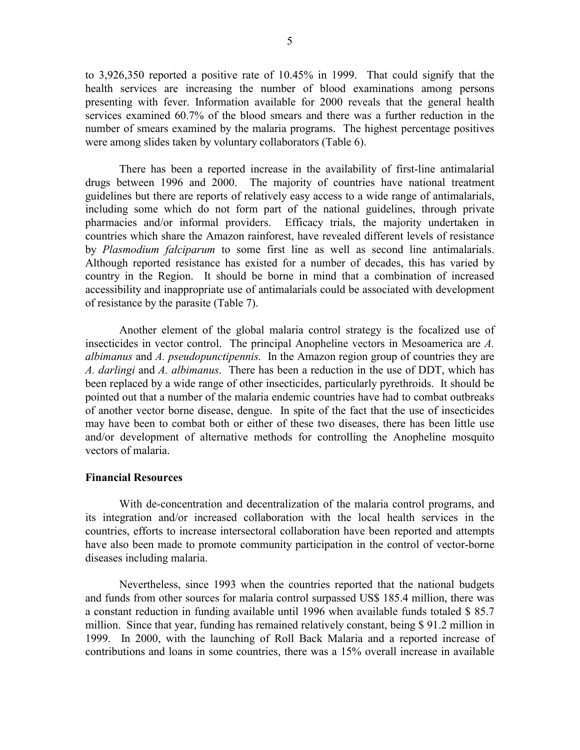to 3,926,350 reported a positive rate of 10.45% in 1999. That could signify that the health services are increasing the number of blood examinations among persons presenting with fever. Information available for 2000 reveals that the general health services examined 60.7% of the blood smears and there was a further reduction in the number of smears examined by the malaria programs. The highest percentage positives were among slides taken by voluntary collaborators (Table 6).

There has been a reported increase in the availability of first-line antimalarial drugs between 1996 and 2000. The majority of countries have national treatment guidelines but there are reports of relatively easy access to a wide range of antimalarials, including some which do not form part of the national guidelines, through private pharmacies and/or informal providers. Efficacy trials, the majority undertaken in countries which share the Amazon rainforest, have revealed different levels of resistance by *Plasmodium falciparum* to some first line as well as second line antimalarials. Although reported resistance has existed for a number of decades, this has varied by country in the Region. It should be borne in mind that a combination of increased accessibility and inappropriate use of antimalarials could be associated with development of resistance by the parasite (Table 7).

Another element of the global malaria control strategy is the focalized use of insecticides in vector control. The principal Anopheline vectors in Mesoamerica are *A. albimanus* and *A. pseudopunctipennis.* In the Amazon region group of countries they are *A. darlingi* and *A. albimanus*. There has been a reduction in the use of DDT, which has been replaced by a wide range of other insecticides, particularly pyrethroids. It should be pointed out that a number of the malaria endemic countries have had to combat outbreaks of another vector borne disease, dengue. In spite of the fact that the use of insecticides may have been to combat both or either of these two diseases, there has been little use and/or development of alternative methods for controlling the Anopheline mosquito vectors of malaria.

### **Financial Resources**

With de-concentration and decentralization of the malaria control programs, and its integration and/or increased collaboration with the local health services in the countries, efforts to increase intersectoral collaboration have been reported and attempts have also been made to promote community participation in the control of vector-borne diseases including malaria.

Nevertheless, since 1993 when the countries reported that the national budgets and funds from other sources for malaria control surpassed US\$ 185.4 million, there was a constant reduction in funding available until 1996 when available funds totaled \$ 85.7 million. Since that year, funding has remained relatively constant, being \$ 91.2 million in 1999. In 2000, with the launching of Roll Back Malaria and a reported increase of contributions and loans in some countries, there was a 15% overall increase in available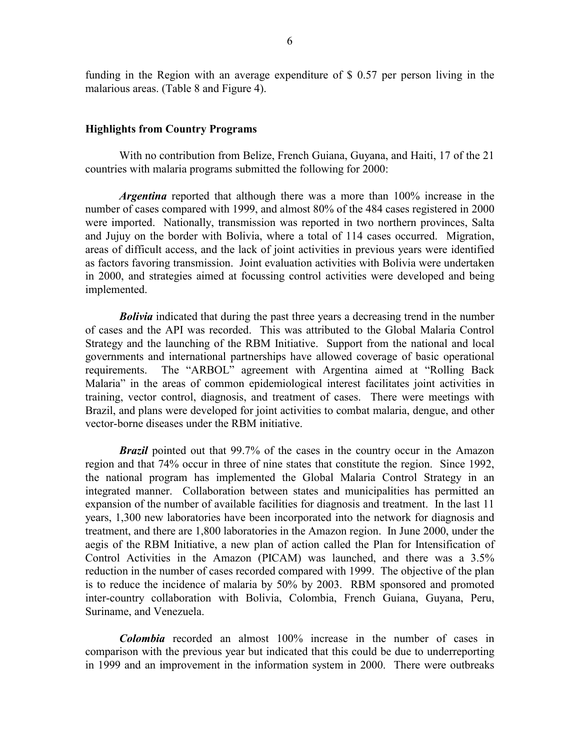funding in the Region with an average expenditure of \$ 0.57 per person living in the malarious areas. (Table 8 and Figure 4).

### **Highlights from Country Programs**

With no contribution from Belize, French Guiana, Guyana, and Haiti, 17 of the 21 countries with malaria programs submitted the following for 2000:

*Argentina* reported that although there was a more than 100% increase in the number of cases compared with 1999, and almost 80% of the 484 cases registered in 2000 were imported. Nationally, transmission was reported in two northern provinces, Salta and Jujuy on the border with Bolivia, where a total of 114 cases occurred. Migration, areas of difficult access, and the lack of joint activities in previous years were identified as factors favoring transmission. Joint evaluation activities with Bolivia were undertaken in 2000, and strategies aimed at focussing control activities were developed and being implemented.

*Bolivia* indicated that during the past three years a decreasing trend in the number of cases and the API was recorded. This was attributed to the Global Malaria Control Strategy and the launching of the RBM Initiative. Support from the national and local governments and international partnerships have allowed coverage of basic operational requirements. The "ARBOL" agreement with Argentina aimed at "Rolling Back Malaria" in the areas of common epidemiological interest facilitates joint activities in training, vector control, diagnosis, and treatment of cases. There were meetings with Brazil, and plans were developed for joint activities to combat malaria, dengue, and other vector-borne diseases under the RBM initiative.

*Brazil* pointed out that 99.7% of the cases in the country occur in the Amazon region and that 74% occur in three of nine states that constitute the region. Since 1992, the national program has implemented the Global Malaria Control Strategy in an integrated manner. Collaboration between states and municipalities has permitted an expansion of the number of available facilities for diagnosis and treatment. In the last 11 years, 1,300 new laboratories have been incorporated into the network for diagnosis and treatment, and there are 1,800 laboratories in the Amazon region. In June 2000, under the aegis of the RBM Initiative, a new plan of action called the Plan for Intensification of Control Activities in the Amazon (PICAM) was launched, and there was a 3.5% reduction in the number of cases recorded compared with 1999. The objective of the plan is to reduce the incidence of malaria by 50% by 2003. RBM sponsored and promoted inter-country collaboration with Bolivia, Colombia, French Guiana, Guyana, Peru, Suriname, and Venezuela.

*Colombia* recorded an almost 100% increase in the number of cases in comparison with the previous year but indicated that this could be due to underreporting in 1999 and an improvement in the information system in 2000. There were outbreaks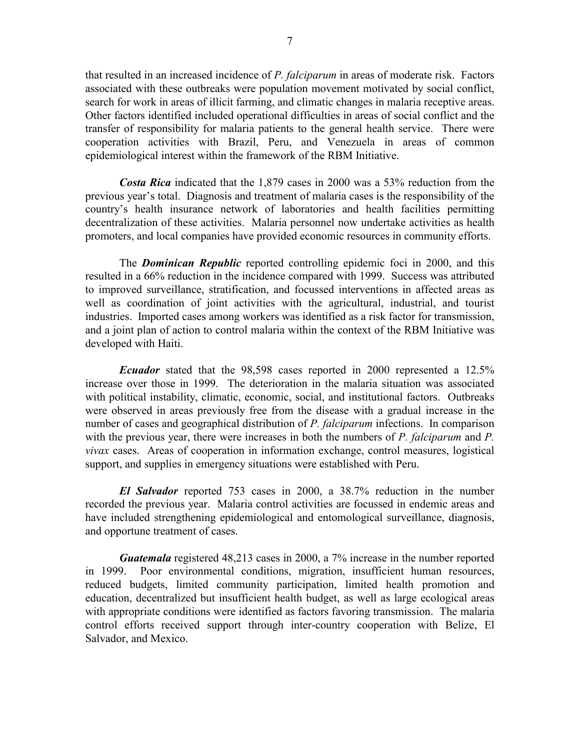that resulted in an increased incidence of *P. falciparum* in areas of moderate risk. Factors associated with these outbreaks were population movement motivated by social conflict, search for work in areas of illicit farming, and climatic changes in malaria receptive areas. Other factors identified included operational difficulties in areas of social conflict and the transfer of responsibility for malaria patients to the general health service. There were cooperation activities with Brazil, Peru, and Venezuela in areas of common epidemiological interest within the framework of the RBM Initiative.

*Costa Rica* indicated that the 1,879 cases in 2000 was a 53% reduction from the previous year's total. Diagnosis and treatment of malaria cases is the responsibility of the country's health insurance network of laboratories and health facilities permitting decentralization of these activities. Malaria personnel now undertake activities as health promoters, and local companies have provided economic resources in community efforts.

The *Dominican Republic* reported controlling epidemic foci in 2000, and this resulted in a 66% reduction in the incidence compared with 1999. Success was attributed to improved surveillance, stratification, and focussed interventions in affected areas as well as coordination of joint activities with the agricultural, industrial, and tourist industries. Imported cases among workers was identified as a risk factor for transmission, and a joint plan of action to control malaria within the context of the RBM Initiative was developed with Haiti.

*Ecuador* stated that the 98,598 cases reported in 2000 represented a 12.5% increase over those in 1999. The deterioration in the malaria situation was associated with political instability, climatic, economic, social, and institutional factors. Outbreaks were observed in areas previously free from the disease with a gradual increase in the number of cases and geographical distribution of *P. falciparum* infections. In comparison with the previous year, there were increases in both the numbers of *P. falciparum* and *P. vivax* cases. Areas of cooperation in information exchange, control measures, logistical support, and supplies in emergency situations were established with Peru.

*El Salvador* reported 753 cases in 2000, a 38.7% reduction in the number recorded the previous year. Malaria control activities are focussed in endemic areas and have included strengthening epidemiological and entomological surveillance, diagnosis, and opportune treatment of cases.

*Guatemala* registered 48,213 cases in 2000, a 7% increase in the number reported in 1999. Poor environmental conditions, migration, insufficient human resources, reduced budgets, limited community participation, limited health promotion and education, decentralized but insufficient health budget, as well as large ecological areas with appropriate conditions were identified as factors favoring transmission. The malaria control efforts received support through inter-country cooperation with Belize, El Salvador, and Mexico.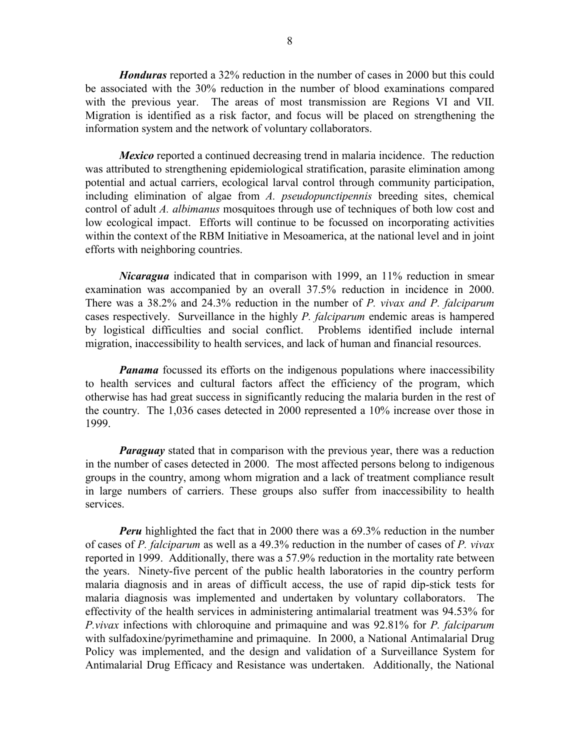*Honduras* reported a 32% reduction in the number of cases in 2000 but this could be associated with the 30% reduction in the number of blood examinations compared with the previous year. The areas of most transmission are Regions VI and VII. Migration is identified as a risk factor, and focus will be placed on strengthening the information system and the network of voluntary collaborators.

*Mexico* reported a continued decreasing trend in malaria incidence. The reduction was attributed to strengthening epidemiological stratification, parasite elimination among potential and actual carriers, ecological larval control through community participation, including elimination of algae from *A. pseudopunctipennis* breeding sites, chemical control of adult *A. albimanus* mosquitoes through use of techniques of both low cost and low ecological impact. Efforts will continue to be focussed on incorporating activities within the context of the RBM Initiative in Mesoamerica, at the national level and in joint efforts with neighboring countries.

*Nicaragua* indicated that in comparison with 1999, an 11% reduction in smear examination was accompanied by an overall 37.5% reduction in incidence in 2000. There was a 38.2% and 24.3% reduction in the number of *P. vivax and P. falciparum* cases respectively. Surveillance in the highly *P. falciparum* endemic areas is hampered by logistical difficulties and social conflict. Problems identified include internal migration, inaccessibility to health services, and lack of human and financial resources.

*Panama* focussed its efforts on the indigenous populations where inaccessibility to health services and cultural factors affect the efficiency of the program, which otherwise has had great success in significantly reducing the malaria burden in the rest of the country. The 1,036 cases detected in 2000 represented a 10% increase over those in 1999.

*Paraguay* stated that in comparison with the previous year, there was a reduction in the number of cases detected in 2000. The most affected persons belong to indigenous groups in the country, among whom migration and a lack of treatment compliance result in large numbers of carriers. These groups also suffer from inaccessibility to health services.

*Peru* highlighted the fact that in 2000 there was a 69.3% reduction in the number of cases of *P. falciparum* as well as a 49.3% reduction in the number of cases of *P. vivax* reported in 1999. Additionally, there was a 57.9% reduction in the mortality rate between the years. Ninety-five percent of the public health laboratories in the country perform malaria diagnosis and in areas of difficult access, the use of rapid dip-stick tests for malaria diagnosis was implemented and undertaken by voluntary collaborators. The effectivity of the health services in administering antimalarial treatment was 94.53% for *P.vivax* infections with chloroquine and primaquine and was 92.81% for *P. falciparum* with sulfadoxine/pyrimethamine and primaquine. In 2000, a National Antimalarial Drug Policy was implemented, and the design and validation of a Surveillance System for Antimalarial Drug Efficacy and Resistance was undertaken. Additionally, the National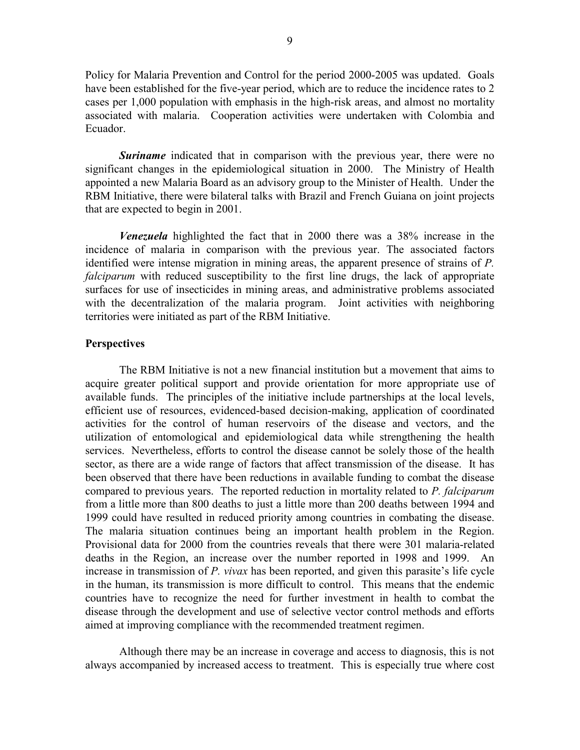Policy for Malaria Prevention and Control for the period 2000-2005 was updated. Goals have been established for the five-year period, which are to reduce the incidence rates to 2 cases per 1,000 population with emphasis in the high-risk areas, and almost no mortality associated with malaria. Cooperation activities were undertaken with Colombia and Ecuador.

*Suriname* indicated that in comparison with the previous year, there were no significant changes in the epidemiological situation in 2000. The Ministry of Health appointed a new Malaria Board as an advisory group to the Minister of Health. Under the RBM Initiative, there were bilateral talks with Brazil and French Guiana on joint projects that are expected to begin in 2001.

*Venezuela* highlighted the fact that in 2000 there was a 38% increase in the incidence of malaria in comparison with the previous year. The associated factors identified were intense migration in mining areas, the apparent presence of strains of *P. falciparum* with reduced susceptibility to the first line drugs, the lack of appropriate surfaces for use of insecticides in mining areas, and administrative problems associated with the decentralization of the malaria program. Joint activities with neighboring territories were initiated as part of the RBM Initiative.

### **Perspectives**

The RBM Initiative is not a new financial institution but a movement that aims to acquire greater political support and provide orientation for more appropriate use of available funds. The principles of the initiative include partnerships at the local levels, efficient use of resources, evidenced-based decision-making, application of coordinated activities for the control of human reservoirs of the disease and vectors, and the utilization of entomological and epidemiological data while strengthening the health services. Nevertheless, efforts to control the disease cannot be solely those of the health sector, as there are a wide range of factors that affect transmission of the disease. It has been observed that there have been reductions in available funding to combat the disease compared to previous years. The reported reduction in mortality related to *P. falciparum* from a little more than 800 deaths to just a little more than 200 deaths between 1994 and 1999 could have resulted in reduced priority among countries in combating the disease. The malaria situation continues being an important health problem in the Region. Provisional data for 2000 from the countries reveals that there were 301 malaria-related deaths in the Region, an increase over the number reported in 1998 and 1999. An increase in transmission of *P. vivax* has been reported, and given this parasite's life cycle in the human, its transmission is more difficult to control. This means that the endemic countries have to recognize the need for further investment in health to combat the disease through the development and use of selective vector control methods and efforts aimed at improving compliance with the recommended treatment regimen.

Although there may be an increase in coverage and access to diagnosis, this is not always accompanied by increased access to treatment. This is especially true where cost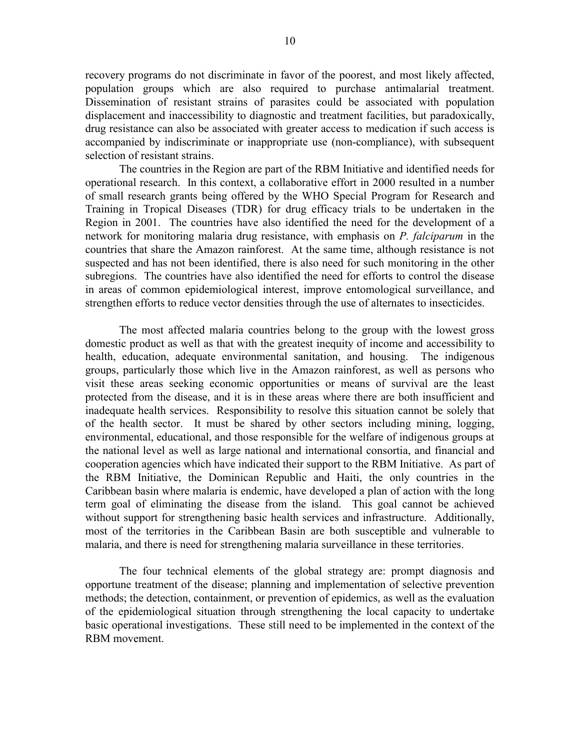recovery programs do not discriminate in favor of the poorest, and most likely affected, population groups which are also required to purchase antimalarial treatment. Dissemination of resistant strains of parasites could be associated with population displacement and inaccessibility to diagnostic and treatment facilities, but paradoxically, drug resistance can also be associated with greater access to medication if such access is accompanied by indiscriminate or inappropriate use (non-compliance), with subsequent selection of resistant strains.

The countries in the Region are part of the RBM Initiative and identified needs for operational research. In this context, a collaborative effort in 2000 resulted in a number of small research grants being offered by the WHO Special Program for Research and Training in Tropical Diseases (TDR) for drug efficacy trials to be undertaken in the Region in 2001. The countries have also identified the need for the development of a network for monitoring malaria drug resistance, with emphasis on *P. falciparum* in the countries that share the Amazon rainforest. At the same time, although resistance is not suspected and has not been identified, there is also need for such monitoring in the other subregions. The countries have also identified the need for efforts to control the disease in areas of common epidemiological interest, improve entomological surveillance, and strengthen efforts to reduce vector densities through the use of alternates to insecticides.

The most affected malaria countries belong to the group with the lowest gross domestic product as well as that with the greatest inequity of income and accessibility to health, education, adequate environmental sanitation, and housing. The indigenous groups, particularly those which live in the Amazon rainforest, as well as persons who visit these areas seeking economic opportunities or means of survival are the least protected from the disease, and it is in these areas where there are both insufficient and inadequate health services. Responsibility to resolve this situation cannot be solely that of the health sector. It must be shared by other sectors including mining, logging, environmental, educational, and those responsible for the welfare of indigenous groups at the national level as well as large national and international consortia, and financial and cooperation agencies which have indicated their support to the RBM Initiative. As part of the RBM Initiative, the Dominican Republic and Haiti, the only countries in the Caribbean basin where malaria is endemic, have developed a plan of action with the long term goal of eliminating the disease from the island. This goal cannot be achieved without support for strengthening basic health services and infrastructure. Additionally, most of the territories in the Caribbean Basin are both susceptible and vulnerable to malaria, and there is need for strengthening malaria surveillance in these territories.

The four technical elements of the global strategy are: prompt diagnosis and opportune treatment of the disease; planning and implementation of selective prevention methods; the detection, containment, or prevention of epidemics, as well as the evaluation of the epidemiological situation through strengthening the local capacity to undertake basic operational investigations. These still need to be implemented in the context of the RBM movement.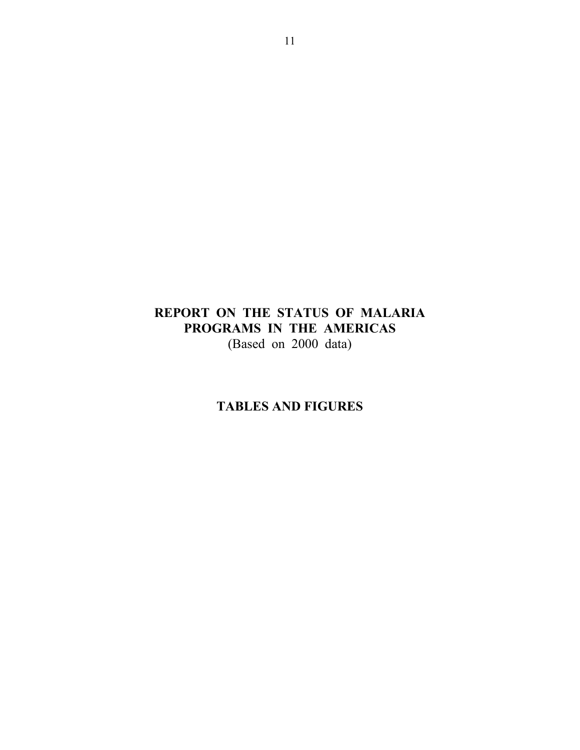# **REPORT ON THE STATUS OF MALARIA PROGRAMS IN THE AMERICAS** (Based on 2000 data)

# **TABLES AND FIGURES**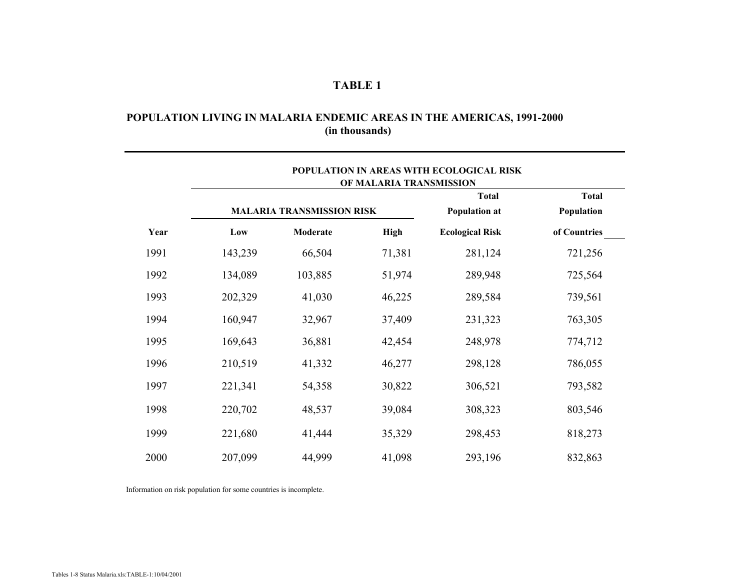## **(in thousands) POPULATION LIVING IN MALARIA ENDEMIC AREAS IN THE AMERICAS, 1991-2000**

|      |         |                                  | OF MALARIA TRANSMISSION | POPULATION IN AREAS WITH ECOLOGICAL RISK |                            |
|------|---------|----------------------------------|-------------------------|------------------------------------------|----------------------------|
|      |         | <b>MALARIA TRANSMISSION RISK</b> |                         | <b>Total</b><br><b>Population at</b>     | <b>Total</b><br>Population |
| Year | Low     | Moderate                         | <b>High</b>             | <b>Ecological Risk</b>                   | of Countries               |
| 1991 | 143,239 | 66,504                           | 71,381                  | 281,124                                  | 721,256                    |
| 1992 | 134,089 | 103,885                          | 51,974                  | 289,948                                  | 725,564                    |
| 1993 | 202,329 | 41,030                           | 46,225                  | 289,584                                  | 739,561                    |
| 1994 | 160,947 | 32,967                           | 37,409                  | 231,323                                  | 763,305                    |
| 1995 | 169,643 | 36,881                           | 42,454                  | 248,978                                  | 774,712                    |
| 1996 | 210,519 | 41,332                           | 46,277                  | 298,128                                  | 786,055                    |
| 1997 | 221,341 | 54,358                           | 30,822                  | 306,521                                  | 793,582                    |
| 1998 | 220,702 | 48,537                           | 39,084                  | 308,323                                  | 803,546                    |
| 1999 | 221,680 | 41,444                           | 35,329                  | 298,453                                  | 818,273                    |
| 2000 | 207,099 | 44,999                           | 41,098                  | 293,196                                  | 832,863                    |

Information on risk population for some countries is incomplete.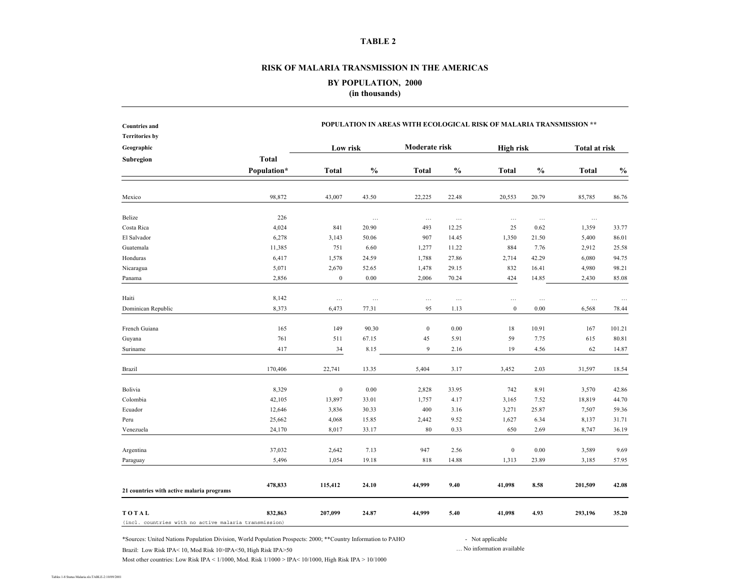#### **RISK OF MALARIA TRANSMISSION IN THE AMERICAS**

**BY POPULATION, 2000 (in thousands)**

|             | POPULATION IN AREAS WITH ECOLOGICAL RISK OF MALARIA TRANSMISSION **   |          |                  |               |                  |               |                      |                                    |  |  |  |
|-------------|-----------------------------------------------------------------------|----------|------------------|---------------|------------------|---------------|----------------------|------------------------------------|--|--|--|
|             |                                                                       |          |                  |               |                  |               |                      |                                    |  |  |  |
|             |                                                                       |          | Moderate risk    |               |                  |               | <b>Total at risk</b> |                                    |  |  |  |
|             |                                                                       |          |                  |               |                  |               |                      |                                    |  |  |  |
| Population* | <b>Total</b>                                                          | $\%$     | <b>Total</b>     | $\frac{0}{0}$ | <b>Total</b>     | $\frac{0}{0}$ | <b>Total</b>         | $\mathbf{0}_{\mathbf{0}}^{\prime}$ |  |  |  |
|             |                                                                       |          |                  |               |                  |               |                      |                                    |  |  |  |
| 98,872      | 43,007                                                                | 43.50    | 22,225           | 22.48         | 20,553           | 20.79         | 85,785               | 86.76                              |  |  |  |
| 226         |                                                                       | $\ldots$ | $\ldots$         | $\ldots$      | $\ldots$         | $\ldots$      | $\ldots$             |                                    |  |  |  |
| 4,024       | 841                                                                   | 20.90    | 493              | 12.25         | 25               | 0.62          | 1,359                | 33.77                              |  |  |  |
| 6,278       | 3,143                                                                 | 50.06    | 907              | 14.45         | 1,350            | 21.50         | 5,400                | 86.01                              |  |  |  |
| 11,385      | 751                                                                   | 6.60     | 1,277            | 11.22         | 884              | 7.76          | 2,912                | 25.58                              |  |  |  |
| 6,417       | 1,578                                                                 | 24.59    | 1,788            | 27.86         | 2,714            | 42.29         | 6,080                | 94.75                              |  |  |  |
| 5,071       | 2,670                                                                 | 52.65    | 1,478            | 29.15         | 832              | 16.41         | 4,980                | 98.21                              |  |  |  |
| 2,856       | $\boldsymbol{0}$                                                      | $0.00\,$ | 2,006            | 70.24         | 424              | 14.85         | 2,430                | 85.08                              |  |  |  |
| 8,142       | $\ldots$                                                              | $\ldots$ | $\ldots$         | $\ldots$      | $\ldots$         | $\ldots$      | $\ldots$             | $\ldots$                           |  |  |  |
| 8,373       | 6,473                                                                 | 77.31    | 95               | 1.13          | $\mathbf{0}$     | 0.00          | 6,568                | 78.44                              |  |  |  |
| 165         | 149                                                                   | 90.30    | $\boldsymbol{0}$ | 0.00          | 18               | 10.91         | 167                  | 101.21                             |  |  |  |
| 761         | 511                                                                   | 67.15    | 45               | 5.91          | 59               | 7.75          | 615                  | 80.81                              |  |  |  |
| 417         | 34                                                                    | 8.15     | 9                | 2.16          | 19               | 4.56          | 62                   | 14.87                              |  |  |  |
| 170,406     | 22,741                                                                | 13.35    | 5,404            | 3.17          | 3,452            | 2.03          | 31,597               | 18.54                              |  |  |  |
| 8,329       | $\boldsymbol{0}$                                                      | 0.00     | 2,828            | 33.95         | 742              | 8.91          | 3,570                | 42.86                              |  |  |  |
| 42,105      | 13,897                                                                | 33.01    | 1,757            | 4.17          | 3,165            | 7.52          | 18,819               | 44.70                              |  |  |  |
| 12,646      | 3,836                                                                 | 30.33    | 400              | 3.16          | 3,271            | 25.87         | 7,507                | 59.36                              |  |  |  |
| 25,662      | 4,068                                                                 | 15.85    | 2,442            | 9.52          | 1,627            | 6.34          | 8,137                | 31.71                              |  |  |  |
| 24,170      | 8,017                                                                 | 33.17    | 80               | 0.33          | 650              | 2.69          | 8,747                | 36.19                              |  |  |  |
| 37,032      | 2,642                                                                 | 7.13     | 947              | 2.56          | $\boldsymbol{0}$ | 0.00          | 3,589                | 9.69                               |  |  |  |
| 5,496       | 1,054                                                                 | 19.18    | 818              | 14.88         | 1,313            | 23.89         | 3,185                | 57.95                              |  |  |  |
| 478,833     | 115,412                                                               | 24.10    | 44,999           | 9.40          | 41,098           | 8.58          | 201,509              | 42.08                              |  |  |  |
| 832,863     | 207,099                                                               | 24.87    | 44,999           | 5.40          | 41,098           | 4.93          | 293,196              | 35.20                              |  |  |  |
|             | <b>Total</b><br>(incl. countries with no active malaria transmission) |          | Low risk         |               |                  |               | <b>High risk</b>     |                                    |  |  |  |

\*Sources: United Nations Population Division, World Population Prospects: 2000; \*\*Country Information to PAHO - Not applicable

Brazil: Low Risk IPA< 10, Mod Risk 10>IPA<50, High Risk IPA>50 … No information available

Most other countries: Low Risk IPA < 1/1000, Mod. Risk 1/1000 > IPA< 10/1000, High Risk IPA > 10/1000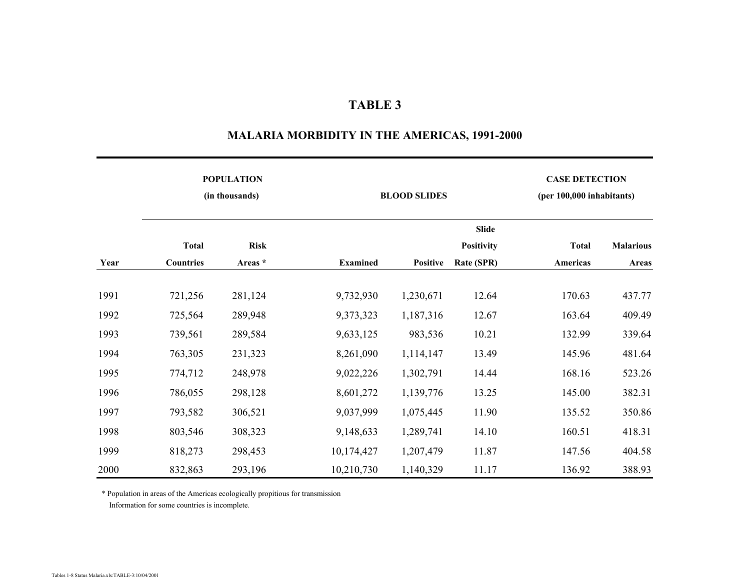# **POPULATION CASE DETECTION (in thousands) BLOOD SLIDES (per 100,000 inhabitants) Slide Total Risk Positivity Total Malarious Year Countries Areas \* Examined Positive Rate (SPR) Americas Areas** 1991 721,256 281,124 9,732,930 1,230,671 12.64 170.63 437.77 1992 725,564 289,948 9,373,323 1,187,316 12.67 163.64 409.49 1993 739,561 289,584 9,633,125 983,536 10.21 132.99 339.64 1994 763,305 231,323 8,261,090 1,114,147 13.49 145.96 481.64 1995 774,712 248,978 9,022,226 1,302,791 14.44 168.16 523.26 1996 786,055 298,128 8,601,272 1,139,776 13.25 145.00 382.31 1997 793,582 306,521 9,037,999 1,075,445 11.90 135.52 350.86 1998 803,546 308,323 9,148,633 1,289,741 14.10 160.51 418.31 1999 818,273 298,453 10,174,427 1,207,479 11.87 147.56 404.58 2000 832,863 293,196 10,210,730 1,140,329 11.17 136.92 388.93

### **MALARIA MORBIDITY IN THE AMERICAS, 1991-2000**

\* Population in areas of the Americas ecologically propitious for transmission Information for some countries is incomplete.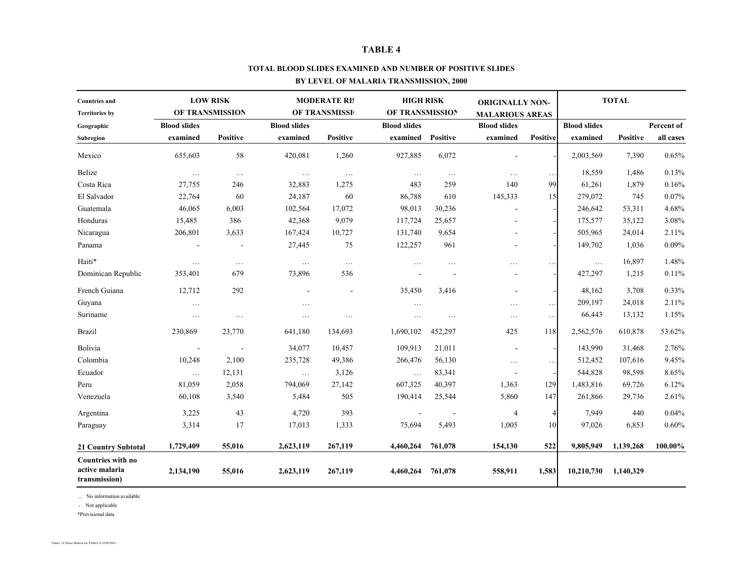#### **TOTAL BLOOD SLIDES EXAMINED AND NUMBER OF POSITIVE SLIDES**

### **BY LEVEL OF MALARIA TRANSMISSION, 2000**

| <b>Countries and</b>                                        |                     | <b>LOW RISK</b> |                     | <b>MODERATE RIS</b> | <b>HIGH RISK</b>    |                 | <b>ORIGINALLY NON-</b> |                 |                     | <b>TOTAL</b>    |            |
|-------------------------------------------------------------|---------------------|-----------------|---------------------|---------------------|---------------------|-----------------|------------------------|-----------------|---------------------|-----------------|------------|
| <b>Territories by</b>                                       |                     | OF TRANSMISSION |                     | OF TRANSMISSI       | OF TRANSMISSION     |                 | <b>MALARIOUS AREAS</b> |                 |                     |                 |            |
| Geographic                                                  | <b>Blood slides</b> |                 | <b>Blood slides</b> |                     | <b>Blood slides</b> |                 | <b>Blood slides</b>    |                 | <b>Blood slides</b> |                 | Percent of |
| Subregion                                                   | examined            | <b>Positive</b> | examined            | <b>Positive</b>     | examined            | <b>Positive</b> | examined               | Positive        | examined            | <b>Positive</b> | all cases  |
| Mexico                                                      | 655,603             | 58              | 420,081             | 1,260               | 927,885             | 6,072           |                        |                 | 2,003,569           | 7,390           | 0.65%      |
| Belize                                                      | $\ldots$            | $\ldots$        | $\ldots$            | $\ldots$            | $\ldots$            | $\ldots$        | $\ldots$               | $\ldots$        | 18,559              | 1,486           | 0.13%      |
| Costa Rica                                                  | 27,755              | 246             | 32,883              | 1,275               | 483                 | 259             | 140                    | 99              | 61,261              | 1,879           | 0.16%      |
| El Salvador                                                 | 22,764              | 60              | 24,187              | 60                  | 86,788              | 610             | 145,333                | 15 <sup>l</sup> | 279,072             | 745             | 0.07%      |
| Guatemala                                                   | 46,065              | 6,003           | 102,564             | 17,072              | 98,013              | 30,236          |                        |                 | 246,642             | 53,311          | 4.68%      |
| Honduras                                                    | 15,485              | 386             | 42,368              | 9,079               | 117,724             | 25,657          |                        |                 | 175,577             | 35,122          | 3.08%      |
| Nicaragua                                                   | 206,801             | 3,633           | 167,424             | 10,727              | 131,740             | 9,654           |                        |                 | 505,965             | 24,014          | 2.11%      |
| Panama                                                      |                     |                 | 27,445              | 75                  | 122,257             | 961             |                        |                 | 149,702             | 1,036           | 0.09%      |
| Haiti*                                                      | $\cdots$            | $\cdots$        | $\ldots$            | $\ldots$            | $\cdots$            | .               | $\cdots$               | .               | $\ldots$            | 16,897          | 1.48%      |
| Dominican Republic                                          | 353,401             | 679             | 73,896              | 536                 |                     |                 |                        |                 | 427,297             | 1,215           | 0.11%      |
| French Guiana                                               | 12,712              | 292             |                     |                     | 35,450              | 3,416           |                        |                 | 48,162              | 3,708           | 0.33%      |
| Guyana                                                      | $\cdots$            |                 | .                   |                     | $\ldots$            |                 | $\ldots$               | $\cdots$        | 209,197             | 24,018          | 2.11%      |
| Suriname                                                    | $\cdots$            | .               | .                   | .                   | $\cdots$            | $\cdots$        | $\ldots$               | $\ldots$        | 66,443              | 13,132          | 1.15%      |
| <b>Brazil</b>                                               | 230,869             | 23,770          | 641,180             | 134,693             | 1,690,102           | 452,297         | 425                    | 118             | 2,562,576           | 610,878         | 53.62%     |
| Bolivia                                                     |                     |                 | 34,077              | 10,457              | 109,913             | 21,011          |                        |                 | 143,990             | 31,468          | 2.76%      |
| Colombia                                                    | 10,248              | 2,100           | 235,728             | 49,386              | 266,476             | 56,130          | $\ldots$               | $\ldots$        | 512,452             | 107,616         | 9.45%      |
| Ecuador                                                     | $\cdots$            | 12,131          | $\ldots$            | 3,126               | $\ldots$            | 83,341          |                        |                 | 544,828             | 98,598          | 8.65%      |
| Peru                                                        | 81,059              | 2,058           | 794,069             | 27,142              | 607,325             | 40,397          | 1,363                  | 129             | 1,483,816           | 69,726          | 6.12%      |
| Venezuela                                                   | 60,108              | 3,540           | 5,484               | 505                 | 190,414             | 25,544          | 5,860                  | 147             | 261,866             | 29,736          | 2.61%      |
| Argentina                                                   | 3,225               | 43              | 4,720               | 393                 |                     |                 | $\overline{4}$         | $\overline{4}$  | 7,949               | 440             | 0.04%      |
| Paraguay                                                    | 3,314               | 17              | 17,013              | 1,333               | 75,694              | 5,493           | 1,005                  | 10              | 97,026              | 6,853           | 0.60%      |
| <b>21 Country Subtotal</b>                                  | 1,729,409           | 55,016          | 2,623,119           | 267,119             | 4,460,264           | 761,078         | 154,130                | 522             | 9,805,949           | 1,139,268       | 100.00%    |
| <b>Countries with no</b><br>active malaria<br>transmission) | 2,134,190           | 55,016          | 2,623,119           | 267,119             | 4,460,264           | 761,078         | 558,911                | 1,583           | 10,210,730          | 1,140,329       |            |

... No information available

- Not applicable

\*Provisional data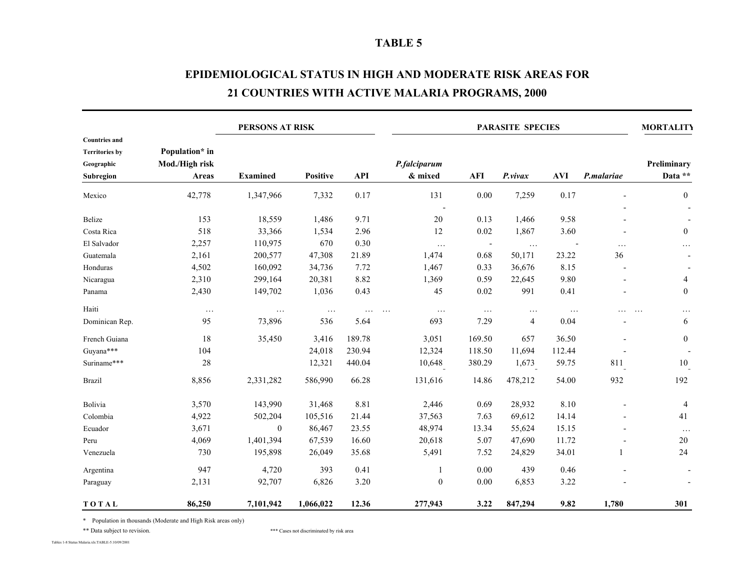# **EPIDEMIOLOGICAL STATUS IN HIGH AND MODERATE RISK AREAS FOR21 COUNTRIES WITH ACTIVE MALARIA PROGRAMS, 2000**

| <b>PERSONS AT RISK</b>                                                   |                                           |                 |                 |            |                                 | <b>PARASITE SPECIES</b> |                |            |            |                        |
|--------------------------------------------------------------------------|-------------------------------------------|-----------------|-----------------|------------|---------------------------------|-------------------------|----------------|------------|------------|------------------------|
| <b>Countries and</b><br><b>Territories by</b><br>Geographic<br>Subregion | Population* in<br>Mod./High risk<br>Areas | <b>Examined</b> | <b>Positive</b> | <b>API</b> | P.falciparum<br>& mixed         | AFI                     | P.vivax        | <b>AVI</b> | P.malariae | Preliminary<br>Data ** |
| Mexico                                                                   | 42,778                                    | 1,347,966       | 7,332           | 0.17       | 131                             | 0.00                    | 7,259          | 0.17       |            | $\mathbf{0}$           |
| Belize                                                                   | 153                                       | 18,559          | 1,486           | 9.71       | 20                              | 0.13                    | 1,466          | 9.58       |            |                        |
| Costa Rica                                                               | 518                                       | 33,366          | 1,534           | 2.96       | 12                              | 0.02                    | 1,867          | 3.60       |            | $\boldsymbol{0}$       |
| El Salvador                                                              | 2,257                                     | 110,975         | 670             | 0.30       | $\ldots$                        |                         | $\cdots$       |            | $\cdots$   | .                      |
| Guatemala                                                                | 2,161                                     | 200,577         | 47,308          | 21.89      | 1,474                           | 0.68                    | 50,171         | 23.22      | 36         |                        |
| Honduras                                                                 | 4,502                                     | 160,092         | 34,736          | 7.72       | 1,467                           | 0.33                    | 36,676         | 8.15       |            |                        |
| Nicaragua                                                                | 2,310                                     | 299,164         | 20,381          | 8.82       | 1,369                           | 0.59                    | 22,645         | 9.80       |            | $\overline{4}$         |
| Panama                                                                   | 2,430                                     | 149,702         | 1,036           | 0.43       | 45                              | 0.02                    | 991            | 0.41       |            | $\mathbf{0}$           |
| Haiti                                                                    | $\ldots$                                  | $\ldots$        | $\ddotsc$       | $\cdots$   | $\ldots$<br>$\cdot \cdot \cdot$ | $\ldots$                | $\ldots$       | $\ldots$   |            | $\ldots$<br>$\ddots$   |
| Dominican Rep.                                                           | 95                                        | 73,896          | 536             | 5.64       | 693                             | 7.29                    | $\overline{4}$ | 0.04       |            | 6                      |
| French Guiana                                                            | 18                                        | 35,450          | 3,416           | 189.78     | 3,051                           | 169.50                  | 657            | 36.50      |            | $\boldsymbol{0}$       |
| Guyana***                                                                | 104                                       |                 | 24,018          | 230.94     | 12,324                          | 118.50                  | 11,694         | 112.44     |            |                        |
| Suriname***                                                              | $28\,$                                    |                 | 12,321          | 440.04     | 10,648                          | 380.29                  | 1,673          | 59.75      | 811        | 10                     |
| <b>Brazil</b>                                                            | 8,856                                     | 2,331,282       | 586,990         | 66.28      | 131,616                         | 14.86                   | 478,212        | 54.00      | 932        | 192                    |
| Bolivia                                                                  | 3,570                                     | 143,990         | 31,468          | 8.81       | 2,446                           | 0.69                    | 28,932         | 8.10       |            | $\overline{4}$         |
| Colombia                                                                 | 4,922                                     | 502,204         | 105,516         | 21.44      | 37,563                          | 7.63                    | 69,612         | 14.14      |            | 41                     |
| Ecuador                                                                  | 3,671                                     | $\mathbf{0}$    | 86,467          | 23.55      | 48,974                          | 13.34                   | 55,624         | 15.15      |            | $\ldots$               |
| Peru                                                                     | 4,069                                     | 1,401,394       | 67,539          | 16.60      | 20,618                          | 5.07                    | 47,690         | 11.72      |            | 20                     |
| Venezuela                                                                | 730                                       | 195,898         | 26,049          | 35.68      | 5,491                           | 7.52                    | 24,829         | 34.01      | 1          | 24                     |
| Argentina                                                                | 947                                       | 4,720           | 393             | 0.41       | 1                               | 0.00                    | 439            | 0.46       |            |                        |
| Paraguay                                                                 | 2,131                                     | 92,707          | 6,826           | 3.20       | $\mathbf{0}$                    | 0.00                    | 6,853          | 3.22       |            |                        |
| TOTAL                                                                    | 86,250                                    | 7,101,942       | 1,066,022       | 12.36      | 277,943                         | 3.22                    | 847,294        | 9.82       | 1,780      | 301                    |

\* Population in thousands (Moderate and High Risk areas only)

\*\* Data subject to revision.  $***$  Cases not discriminated by risk area

Tables 1-8 Status Malaria.xls:TABLE-5:10/09/2001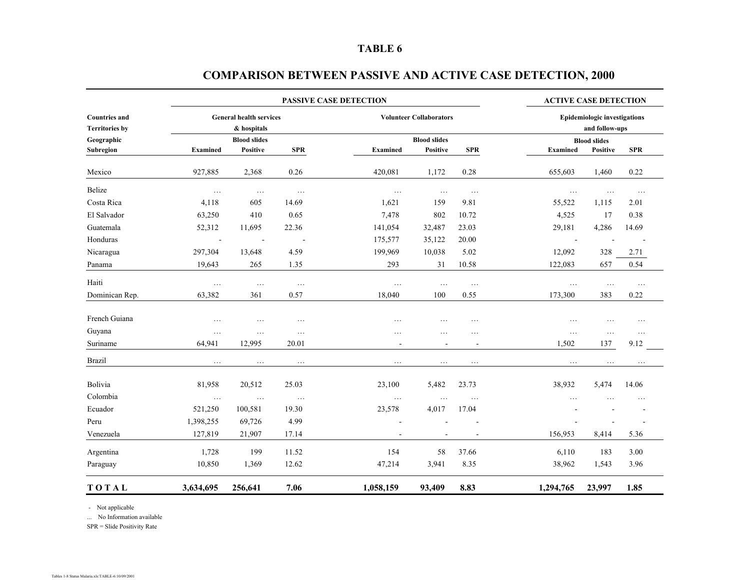|                                               |                                               |                          |            | <b>ACTIVE CASE DETECTION</b> |                                |                          |                          |                                                       |            |  |  |
|-----------------------------------------------|-----------------------------------------------|--------------------------|------------|------------------------------|--------------------------------|--------------------------|--------------------------|-------------------------------------------------------|------------|--|--|
| <b>Countries and</b><br><b>Territories by</b> | <b>General health services</b><br>& hospitals |                          |            |                              | <b>Volunteer Collaborators</b> |                          |                          | <b>Epidemiologic investigations</b><br>and follow-ups |            |  |  |
| Geographic                                    |                                               | <b>Blood slides</b>      |            |                              | <b>Blood slides</b>            |                          |                          | <b>Blood slides</b>                                   |            |  |  |
| Subregion                                     | <b>Examined</b>                               | Positive                 | <b>SPR</b> | <b>Examined</b>              | Positive                       | <b>SPR</b>               | <b>Examined</b>          | Positive                                              | <b>SPR</b> |  |  |
| Mexico                                        | 927,885                                       | 2,368                    | 0.26       | 420,081                      | 1,172                          | 0.28                     | 655,603                  | 1,460                                                 | 0.22       |  |  |
| Belize                                        | $\ldots$                                      | $\ldots$                 | $\ldots$   | .                            | $\cdots$                       | $\ldots$                 | $\cdots$                 | $\ldots$                                              | $\ldots$   |  |  |
| Costa Rica                                    | 4,118                                         | 605                      | 14.69      | 1,621                        | 159                            | 9.81                     | 55,522                   | 1,115                                                 | 2.01       |  |  |
| El Salvador                                   | 63,250                                        | 410                      | 0.65       | 7,478                        | 802                            | 10.72                    | 4,525                    | 17                                                    | 0.38       |  |  |
| Guatemala                                     | 52,312                                        | 11,695                   | 22.36      | 141,054                      | 32,487                         | 23.03                    | 29,181                   | 4,286                                                 | 14.69      |  |  |
| Honduras                                      | $\overline{a}$                                | $\overline{\phantom{a}}$ |            | 175,577                      | 35,122                         | 20.00                    | $\overline{\phantom{a}}$ |                                                       |            |  |  |
| Nicaragua                                     | 297,304                                       | 13,648                   | 4.59       | 199,969                      | 10,038                         | 5.02                     | 12,092                   | 328                                                   | 2.71       |  |  |
| Panama                                        | 19,643                                        | 265                      | 1.35       | 293                          | 31                             | 10.58                    | 122,083                  | 657                                                   | 0.54       |  |  |
| Haiti                                         | $\ldots$                                      | $\ldots$                 | $\ldots$   | $\ldots$                     | $\ldots$                       | $\ldots$                 | $\ldots$                 | $\ldots$                                              | $\ldots$   |  |  |
| Dominican Rep.                                | 63,382                                        | 361                      | 0.57       | 18,040                       | 100                            | 0.55                     | 173,300                  | 383                                                   | 0.22       |  |  |
| French Guiana                                 | .                                             | $\ddots$                 | $\cdots$   | $\cdots$                     | $\cdots$                       | $\cdots$                 | .                        | $\ddots$                                              | .          |  |  |
| Guyana                                        | .                                             | .                        | $\cdots$   | .                            | $\cdots$                       | $\cdots$                 | $\cdots$                 | $\ldots$                                              | $\ldots$   |  |  |
| Suriname                                      | 64,941                                        | 12,995                   | 20.01      | $\overline{\phantom{a}}$     | $\overline{\phantom{a}}$       | $\overline{\phantom{a}}$ | 1,502                    | 137                                                   | 9.12       |  |  |
| <b>Brazil</b>                                 | $\ldots$                                      | $\ldots$                 | $\cdots$   | .                            | $\cdots$                       | $\cdots$                 | $\cdots$                 | $\cdots$                                              | $\cdots$   |  |  |
| Bolivia                                       | 81,958                                        | 20,512                   | 25.03      | 23,100                       | 5,482                          | 23.73                    | 38,932                   | 5,474                                                 | 14.06      |  |  |
| Colombia                                      | $\ldots$                                      | $\ldots$                 | $\ldots$   | $\ldots$                     | .                              | $\ldots$                 | $\ddotsc$                |                                                       | .          |  |  |
| Ecuador                                       | 521,250                                       | 100,581                  | 19.30      | 23,578                       | 4,017                          | 17.04                    |                          |                                                       |            |  |  |
| Peru                                          | 1,398,255                                     | 69,726                   | 4.99       |                              |                                |                          |                          |                                                       |            |  |  |
| Venezuela                                     | 127,819                                       | 21,907                   | 17.14      | $\overline{\phantom{a}}$     | $\overline{a}$                 | $\overline{a}$           | 156,953                  | 8,414                                                 | 5.36       |  |  |
| Argentina                                     | 1,728                                         | 199                      | 11.52      | 154                          | 58                             | 37.66                    | 6,110                    | 183                                                   | 3.00       |  |  |
| Paraguay                                      | 10,850                                        | 1,369                    | 12.62      | 47,214                       | 3,941                          | 8.35                     | 38,962                   | 1,543                                                 | 3.96       |  |  |
| TOTAL                                         | 3,634,695                                     | 256,641                  | 7.06       | 1,058,159                    | 93,409                         | 8.83                     | 1,294,765                | 23,997                                                | 1.85       |  |  |

### **COMPARISON BETWEEN PASSIVE AND ACTIVE CASE DETECTION, 2000**

- Not applicable

... No Information available

SPR = Slide Positivity Rate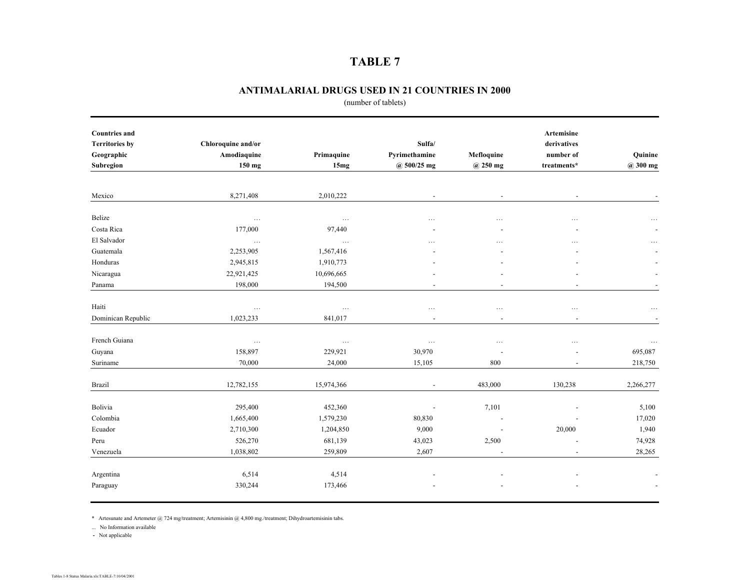#### **ANTIMALARIAL DRUGS USED IN 21 COUNTRIES IN 2000**

(number of tablets)

| <b>Countries and</b>  |                    |            |                          |                          | Artemisine               |                          |
|-----------------------|--------------------|------------|--------------------------|--------------------------|--------------------------|--------------------------|
| <b>Territories by</b> | Chloroquine and/or |            | Sulfa/                   |                          | derivatives              |                          |
| Geographic            | Amodiaquine        | Primaquine | Pyrimethamine            | Mefloquine               | number of                | Quinine                  |
| Subregion             | 150 mg             | 15mg       | @ 500/25 mg              | @ 250 mg                 | treatments*              | $@300$ mg                |
|                       |                    |            |                          |                          |                          |                          |
| Mexico                | 8,271,408          | 2,010,222  | $\overline{\phantom{a}}$ | $\overline{\phantom{a}}$ | $\overline{\phantom{a}}$ |                          |
| Belize                | $\ldots$           | $\ldots$   | .                        | $\cdots$                 | .                        | $\cdots$                 |
| Costa Rica            | 177,000            | 97,440     |                          |                          |                          |                          |
| El Salvador           | $\ldots$           | $\ldots$   |                          |                          | .                        | $\ddotsc$                |
| Guatemala             | 2,253,905          | 1,567,416  |                          |                          |                          |                          |
| Honduras              | 2,945,815          | 1,910,773  |                          |                          |                          |                          |
| Nicaragua             | 22,921,425         | 10,696,665 |                          |                          |                          |                          |
| Panama                | 198,000            | 194,500    | $\overline{\phantom{a}}$ | $\overline{\phantom{a}}$ | $\overline{\phantom{a}}$ | $\overline{\phantom{a}}$ |
| Haiti                 | $\cdots$           | $\ldots$   | $\cdots$                 | $\cdots$                 | $\cdots$                 |                          |
| Dominican Republic    | 1,023,233          | 841,017    | $\overline{\phantom{a}}$ | $\overline{\phantom{a}}$ | $\overline{\phantom{a}}$ |                          |
| French Guiana         | $\ldots$           | $\ldots$   | $\ldots$                 | $\cdots$                 | .                        | $\ldots$                 |
| Guyana                | 158,897            | 229,921    | 30,970                   |                          |                          | 695,087                  |
| Suriname              | 70,000             | 24,000     | 15,105                   | 800                      |                          | 218,750                  |
| <b>Brazil</b>         | 12,782,155         | 15,974,366 | $\overline{\phantom{a}}$ | 483,000                  | 130,238                  | 2,266,277                |
| Bolivia               | 295,400            | 452,360    | $\overline{\phantom{a}}$ | 7,101                    |                          | 5,100                    |
| Colombia              | 1,665,400          | 1,579,230  | 80,830                   |                          |                          | 17,020                   |
| Ecuador               | 2,710,300          | 1,204,850  | 9,000                    | $\overline{\phantom{a}}$ | 20,000                   | 1,940                    |
| Peru                  | 526,270            | 681,139    | 43,023                   | 2,500                    |                          | 74,928                   |
| Venezuela             | 1,038,802          | 259,809    | 2,607                    | $\overline{\phantom{a}}$ | $\overline{\phantom{a}}$ | 28,265                   |
|                       |                    |            |                          |                          |                          |                          |
| Argentina             | 6,514              | 4,514      |                          |                          |                          |                          |
| Paraguay              | 330,244            | 173,466    |                          |                          |                          |                          |

\* Artesunate and Artemeter @ 724 mg/treatment; Artemisinin @ 4,800 mg./treatment; Dihydroartemisinin tabs.

... No Information available

**-** Not applicable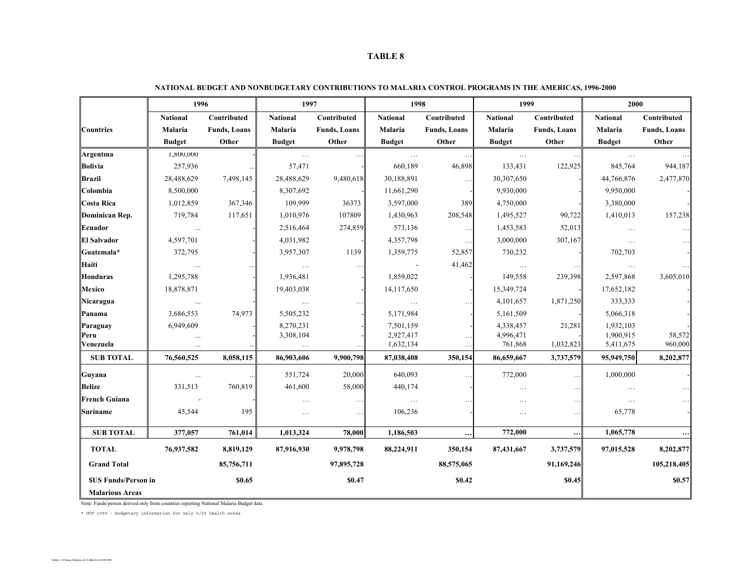|                                                      | 1996            |                      | 1997            |                      | 1998                     |                     | 1999            |                      | 2000            |                      |
|------------------------------------------------------|-----------------|----------------------|-----------------|----------------------|--------------------------|---------------------|-----------------|----------------------|-----------------|----------------------|
|                                                      | <b>National</b> | Contributed          | <b>National</b> | Contributed          | <b>National</b>          | Contributed         | <b>National</b> | Contributed          | <b>National</b> | Contributed          |
| <b>Countries</b>                                     | Malaria         | <b>Funds</b> , Loans | Malaria         | <b>Funds</b> , Loans | Malaria                  | <b>Funds, Loans</b> | Malaria         | <b>Funds</b> , Loans | Malaria         | <b>Funds</b> , Loans |
|                                                      | <b>Budget</b>   | Other                | <b>Budget</b>   | Other                | <b>Budget</b>            | Other               | <b>Budget</b>   | Other                | <b>Budget</b>   | Other                |
| Argentina                                            | 1,800,000       |                      | $\ldots$        | $\ldots$             | $\ldots$                 | $\ldots$            | $\ldots$        | $\ldots$             | $\ldots$        |                      |
| <b>Bolivia</b>                                       | 257,936         |                      | 57,471          |                      | 660,189                  | 46,898              | 133,431         | 122,925              | 845,764         | 944,187              |
| <b>Brazil</b>                                        | 28,488,629      | 7,498,145            | 28,488,629      | 9,480,618            | 30,188,891               | $\ldots$            | 30,307,650      |                      | 44,766,876      | 2,477,870            |
| Colombia                                             | 8,500,000       |                      | 8,307,692       |                      | 11,661,290               |                     | 9,930,000       |                      | 9,950,000       |                      |
| Costa Rica                                           | 1,012,859       | 367,346              | 109,999         | 36373                | 3,597,000                | 389                 | 4,750,000       |                      | 3,380,000       |                      |
| Dominican Rep.                                       | 719,784         | 117,651              | 1,010,976       | 107809               | 1,430,963                | 208,548             | 1,495,527       | 90,722               | 1,410,013       | 157,238              |
| Ecuador                                              | $\ldots$        |                      | 2,516,464       | 274,859              | 573,136                  | $\ldots$            | 1,453,583       | 52,013               | $\ldots$        | $\ldots$             |
| <b>El Salvador</b>                                   | 4,597,701       |                      | 4,031,982       |                      | 4,357,798                | $\ldots$            | 3,000,000       | 307,167              | $\dots$         |                      |
| Guatemala*                                           | 372,795         |                      | 3,957,307       | 1139                 | 1,359,775                | 52,857              | 730,232         |                      | 702,703         |                      |
| Haiti                                                | $\cdots$        |                      | $\ldots$        | $\cdots$             | $\overline{\phantom{a}}$ | 41,462              | $\dots$         |                      | $\ldots$        |                      |
| Honduras                                             | 1,295,788       |                      | 1,936,481       |                      | 1,859,022                |                     | 149,558         | 239,398              | 2,597,868       | 3,605,010            |
| Mexico                                               | 18,878,871      |                      | 19,403,038      |                      | 14, 117, 650             |                     | 15,349,724      |                      | 17,652,182      |                      |
| Nicaragua                                            |                 |                      | $\ldots$        |                      | $\ldots$                 |                     | 4,101,657       | 1,871,250            | 333,333         |                      |
| Panama                                               | 3,686,553       | 74,973               | 5,505,232       |                      | 5,171,984                |                     | 5,161,509       |                      | 5,066,318       |                      |
| Paraguay                                             | 6,949,609       |                      | 8,270,231       |                      | 7,501,159                |                     | 4,338,457       | 21,281               | 1,932,103       |                      |
| Peru                                                 | $\ldots$        |                      | 3,308,104       |                      | 2,927,417                |                     | 4,996,471       |                      | 1,900,915       | 58,572               |
| Venezuela                                            | $\ddotsc$       |                      | $\ldots$        |                      | 1,632,134                | $\ldots$            | 761,868         | 1,032,823            | 5,411,675       | 960,000              |
| <b>SUB TOTAL</b>                                     | 76,560,525      | 8,058,115            | 86,903,606      | 9,900,798            | 87,038,408               | 350,154             | 86,659,667      | 3,737,579            | 95,949,750      | 8,202,877            |
| Guyana                                               | $\cdots$        | $\ldots$             | 551,724         | 20,000               | 640,093                  | $\ldots$            | 772,000         | $\ddotsc$            | 1,000,000       |                      |
| Belize                                               | 331,513         | 760,819              | 461,600         | 58,000               | 440,174                  |                     | $\cdots$        | $\cdots$             | $\cdots$        |                      |
| <b>French Guiana</b>                                 |                 |                      | $\ldots$        | $\cdots$             | $\ldots$                 | $\ddotsc$           | .               | $\ddotsc$            | $\ldots$        |                      |
| Suriname                                             | 45,544          | 195                  | $\dots$         | $\ldots$             | 106,236                  |                     | $\cdots$        | $\ldots$             | 65,778          |                      |
| <b>SUB TOTAL</b>                                     | 377,057         | 761,014              | 1,013,324       | 78,000               | 1,186,503                | $\cdots$            | 772,000         | $\cdots$             | 1,065,778       |                      |
| <b>TOTAL</b>                                         | 76,937,582      | 8,819,129            | 87,916,930      | 9,978,798            | 88,224,911               | 350,154             | 87,431,667      | 3,737,579            | 97,015,528      | 8,202,877            |
| <b>Grand Total</b>                                   |                 | 85,756,711           |                 | 97,895,728           |                          | 88,575,065          |                 | 91,169,246           |                 | 105,218,405          |
| <b>SUS Funds/Person in</b><br><b>Malarious Areas</b> |                 | \$0.65               |                 | \$0.47               |                          | \$0.42              |                 | \$0.45               |                 | \$0.57               |

| NATIONAL BUDGET AND NONBUDGETARY CONTRIBUTIONS TO MALARIA CONTROL PROGRAMS IN THE AMERICAS, 1996-2000 |  |
|-------------------------------------------------------------------------------------------------------|--|
|                                                                                                       |  |

Note: Funds/person derived only from countries reporting National Malaria Budget data

\* GUT 1999 - budgetary information for only 5/25 health areas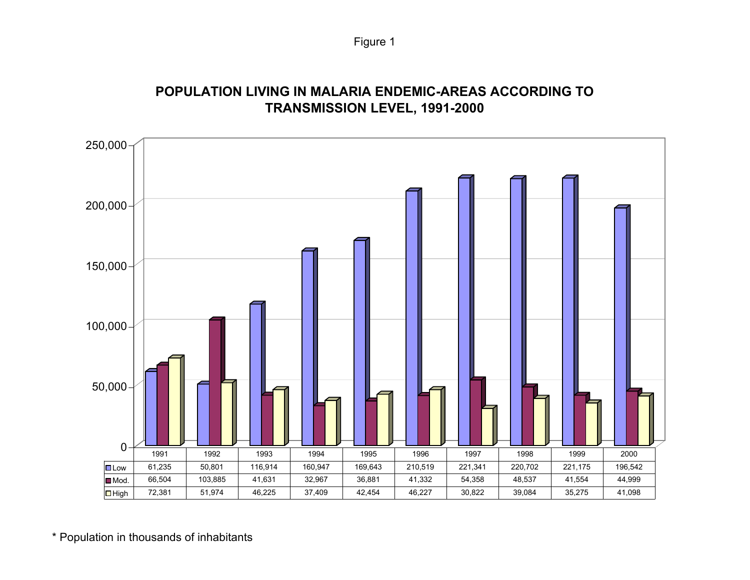# **POPULATION LIVING IN MALARIA ENDEMIC-AREAS ACCORDING TO TRANSMISSION LEVEL, 1991-2000**



\* Population in thousands of inhabitants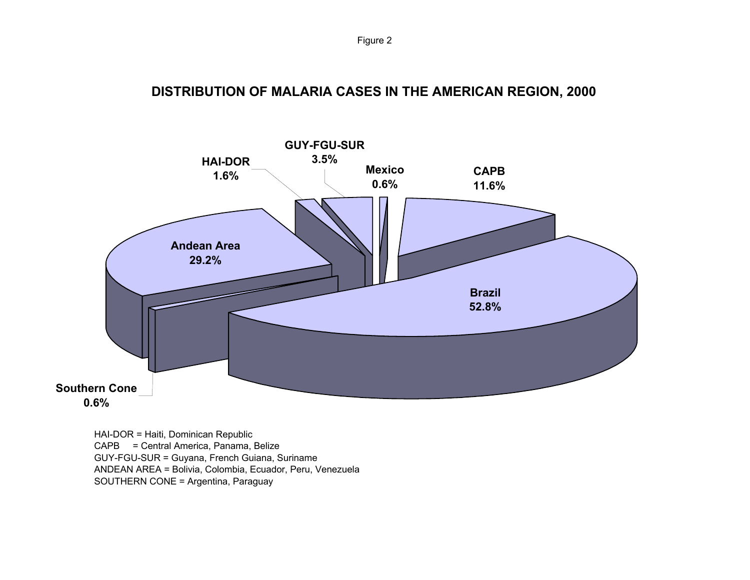**DISTRIBUTION OF MALARIA CASES IN THE AMERICAN REGION, 2000** 



HAI-DOR = Haiti, Dominican Republic CAPB = Central America, Panama, Belize GUY-FGU-SUR = Guyana, French Guiana, Suriname ANDEAN AREA = Bolivia, Colombia, Ecuador, Peru, Venezuela SOUTHERN CONE = Argentina, Paraguay

Figure 2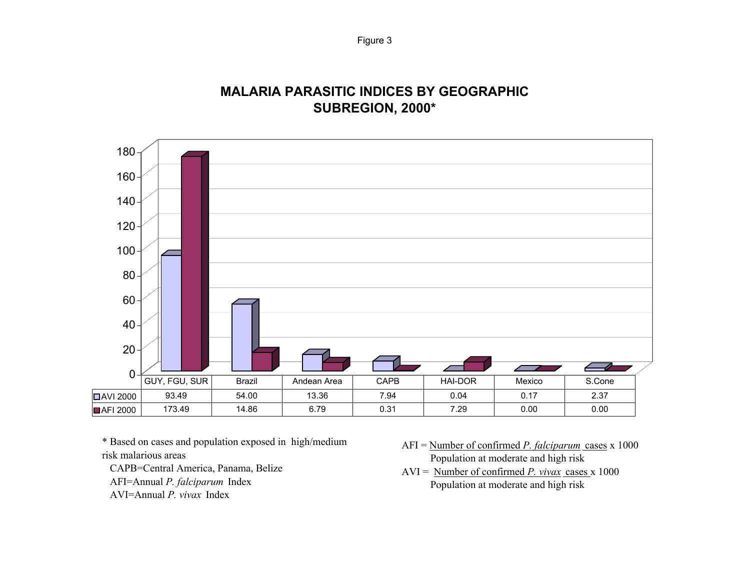# **MALARIA PARASITIC INDICES BY GEOGRAPHICSUBREGION, 2000\***



\* Based on cases and population exposed in high/medium risk malarious areas

CAPB=Central America, Panama, Belize

AFI=Annual *P. falciparum* Index

AVI=Annual *P. vivax* Index

- AFI = Number of confirmed *P. falciparum* cases x 1000 Population at moderate and high risk
- AVI = Number of confirmed *P. vivax* cases x 1000 Population at moderate and high risk